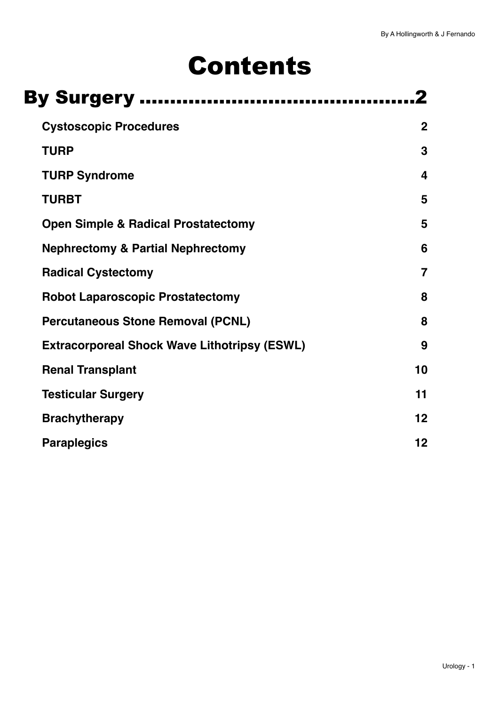# Contents

| <b>By Surgery </b>                                  |                         |
|-----------------------------------------------------|-------------------------|
| <b>Cystoscopic Procedures</b>                       | $\mathbf{2}$            |
| <b>TURP</b>                                         | 3                       |
| <b>TURP Syndrome</b>                                | $\overline{\mathbf{4}}$ |
| <b>TURBT</b>                                        | 5                       |
| <b>Open Simple &amp; Radical Prostatectomy</b>      | 5                       |
| <b>Nephrectomy &amp; Partial Nephrectomy</b>        | 6                       |
| <b>Radical Cystectomy</b>                           | $\overline{7}$          |
| <b>Robot Laparoscopic Prostatectomy</b>             | 8                       |
| <b>Percutaneous Stone Removal (PCNL)</b>            | 8                       |
| <b>Extracorporeal Shock Wave Lithotripsy (ESWL)</b> | 9                       |
| <b>Renal Transplant</b>                             | 10                      |
| <b>Testicular Surgery</b>                           | 11                      |
| <b>Brachytherapy</b>                                | 12                      |
| <b>Paraplegics</b>                                  | 12                      |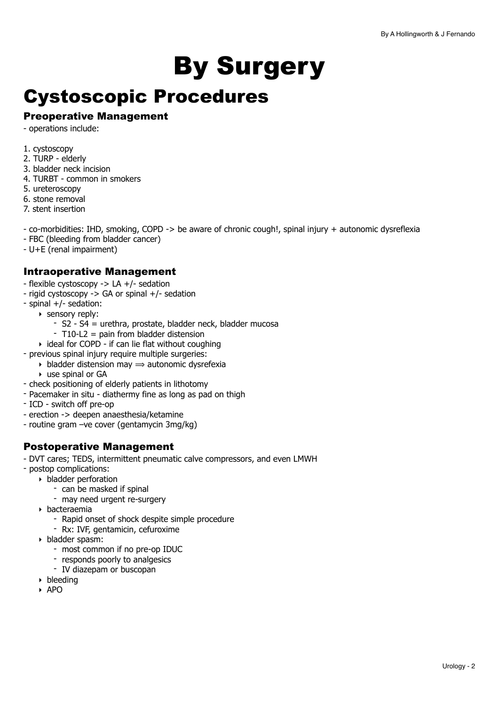# <span id="page-1-0"></span>By Surgery

### <span id="page-1-1"></span>Cystoscopic Procedures

#### Preoperative Management

- operations include:

- 1. cystoscopy
- 2. TURP elderly
- 3. bladder neck incision
- 4. TURBT common in smokers
- 5. ureteroscopy
- 6. stone removal
- 7. stent insertion

- co-morbidities: IHD, smoking, COPD -> be aware of chronic cough!, spinal injury + autonomic dysreflexia

- FBC (bleeding from bladder cancer)
- U+E (renal impairment)

#### Intraoperative Management

- flexible cystoscopy -> LA +/- sedation
- rigid cystoscopy -> GA or spinal +/- sedation
- spinal +/- sedation:
	- ‣ sensory reply:
		- S2 S4 = urethra, prostate, bladder neck, bladder mucosa
		- T10-L2 = pain from bladder distension
		- ‣ ideal for COPD if can lie flat without coughing
- previous spinal injury require multiple surgeries:
	- $\rightarrow$  bladder distension may  $\rightarrow$  autonomic dysrefexia
	- ‣ use spinal or GA
- check positioning of elderly patients in lithotomy
- Pacemaker in situ diathermy fine as long as pad on thigh
- ICD switch off pre-op
- erection -> deepen anaesthesia/ketamine
- routine gram –ve cover (gentamycin 3mg/kg)

#### Postoperative Management

- DVT cares; TEDS, intermittent pneumatic calve compressors, and even LMWH
- postop complications:
	- ‣ bladder perforation
		- can be masked if spinal
		- may need urgent re-surgery
	- ‣ bacteraemia
		- Rapid onset of shock despite simple procedure
		- Rx: IVF, gentamicin, cefuroxime
	- ‣ bladder spasm:
		- most common if no pre-op IDUC
		- responds poorly to analgesics
		- IV diazepam or buscopan
	- ‣ bleeding
	- ‣ APO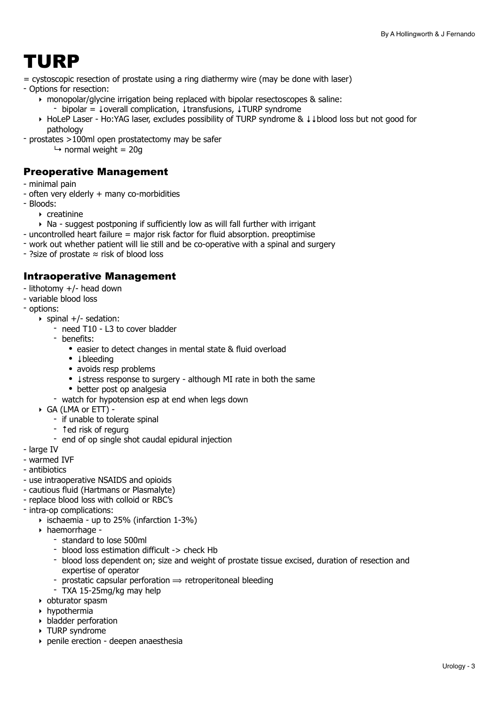## <span id="page-2-0"></span>TURP

= cystoscopic resection of prostate using a ring diathermy wire (may be done with laser)

- Options for resection:

- ‣ monopolar/glycine irrigation being replaced with bipolar resectoscopes & saline:
	- bipolar = ↓overall complication, ↓transfusions, ↓TURP syndrome
- ‣ HoLeP Laser Ho:YAG laser, excludes possibility of TURP syndrome & ↓↓blood loss but not good for pathology
- prostates >100ml open prostatectomy may be safer
	- $\rightarrow$  normal weight = 20g

#### Preoperative Management

- minimal pain
- often very elderly + many co-morbidities
- Bloods:
	- ‣ creatinine
	- ‣ Na suggest postponing if sufficiently low as will fall further with irrigant
- uncontrolled heart failure = major risk factor for fluid absorption. preoptimise
- work out whether patient will lie still and be co-operative with a spinal and surgery
- ?size of prostate ≈ risk of blood loss

- lithotomy +/- head down
- variable blood loss
- options:
	- $\triangleright$  spinal  $+/-$  sedation:
		- need T10 L3 to cover bladder
		- benefits:
			- easier to detect changes in mental state & fluid overload
			- ↓bleeding
			- avoids resp problems
			- ↓ stress response to surgery although MI rate in both the same
			- better post op analgesia
		- watch for hypotension esp at end when legs down
	- ‣ GA (LMA or ETT)
		- if unable to tolerate spinal
		- 1ed risk of regurg
		- end of op single shot caudal epidural injection
- large IV
- warmed IVF
- antibiotics
- use intraoperative NSAIDS and opioids
- cautious fluid (Hartmans or Plasmalyte)
- replace blood loss with colloid or RBC's
- intra-op complications:
	- $\rightarrow$  ischaemia up to 25% (infarction 1-3%)
	- ‣ haemorrhage
		- standard to lose 500ml
		- blood loss estimation difficult -> check Hb
		- blood loss dependent on; size and weight of prostate tissue excised, duration of resection and expertise of operator
		- prostatic capsular perforation  $\Rightarrow$  retroperitoneal bleeding
		- TXA 15-25mg/kg may help
	- ‣ obturator spasm
	- $\rightarrow$  hypothermia
	- $\rightarrow$  bladder perforation
	- ‣ TURP syndrome
	- ‣ penile erection deepen anaesthesia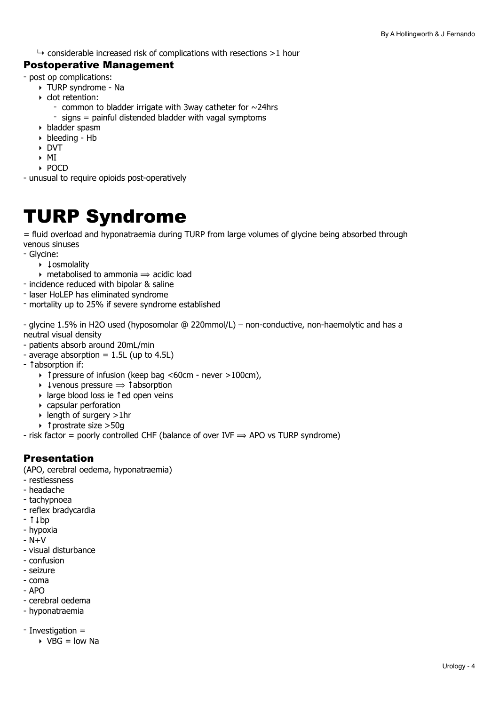$\rightarrow$  considerable increased risk of complications with resections >1 hour

#### Postoperative Management

- post op complications:
	- ‣ TURP syndrome Na
	- ‣ clot retention:
		- common to bladder irrigate with 3way catheter for  $\sim$ 24hrs
		- signs = painful distended bladder with vagal symptoms
	- ‣ bladder spasm
	- ‣ bleeding Hb
	- ‣ DVT
	- ‣ MI
	- ‣ POCD
- unusual to require opioids post-operatively

### <span id="page-3-0"></span>TURP Syndrome

= fluid overload and hyponatraemia during TURP from large volumes of glycine being absorbed through venous sinuses

- Glycine:
	- ‣ ↓osmolality
	- $\rightarrow$  metabolised to ammonia  $\rightarrow$  acidic load
- incidence reduced with bipolar & saline
- laser HoLEP has eliminated syndrome
- mortality up to 25% if severe syndrome established

- glycine 1.5% in H2O used (hyposomolar @ 220mmol/L) – non-conductive, non-haemolytic and has a neutral visual density

- patients absorb around 20mL/min
- average absorption  $= 1.5L$  (up to 4.5L)
- ↑absorption if:
	- ‣ ↑pressure of infusion (keep bag <60cm never >100cm),
	- $\rightarrow$  ↓venous pressure  $\rightarrow$  ↑absorption
	- ‣ large blood loss ie ↑ed open veins
	- ‣ capsular perforation
	- ‣ length of surgery >1hr
	- ‣ ↑prostrate size >50g

- risk factor = poorly controlled CHF (balance of over IVF  $\Rightarrow$  APO vs TURP syndrome)

#### Presentation

(APO, cerebral oedema, hyponatraemia)

- restlessness
- headache
- tachypnoea
- reflex bradycardia
- ↑↓bp
- hypoxia
- $N+V$
- visual disturbance
- confusion
- seizure
- coma
- APO
- cerebral oedema - hyponatraemia
- 
- Investigation =
	- $\triangleright$  VBG = low Na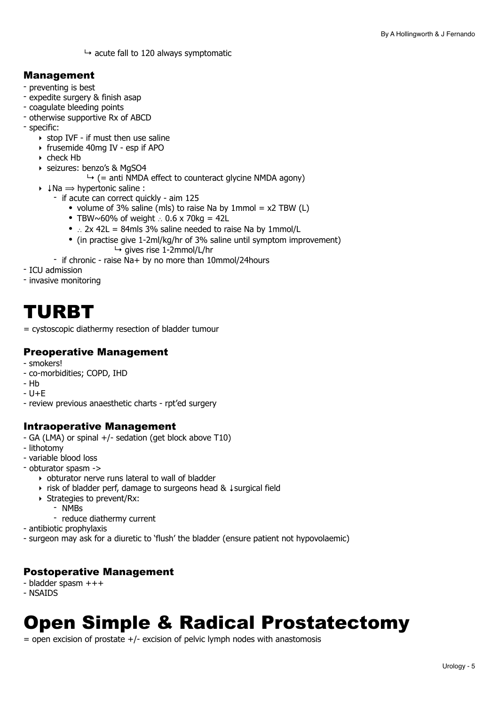$\rightarrow$  acute fall to 120 always symptomatic

#### Management

- preventing is best
- expedite surgery & finish asap
- coagulate bleeding points
- otherwise supportive Rx of ABCD
- specific:
	- $\rightarrow$  stop IVF if must then use saline
	- ‣ frusemide 40mg IV esp if APO
	- ‣ check Hb
	- ‣ seizures: benzo's & MgSO4
		- $\rightarrow$  (= anti NMDA effect to counteract glycine NMDA agony)
	- $\rightarrow$   $\downarrow$ Na  $\rightarrow$  hypertonic saline :
		- if acute can correct quickly aim 125
			- volume of 3% saline (mls) to raise Na by 1mmol =  $x2$  TBW (L)
			- TBW~60% of weight ∴ 0.6 x 70kg = 42L
			- ∴ 2x 42L = 84mls 3% saline needed to raise Na by 1mmol/L
			- (in practise give 1-2ml/kg/hr of 3% saline until symptom improvement)  $\rightarrow$  gives rise 1-2mmol/L/hr
		- if chronic raise Na+ by no more than 10mmol/24hours
- ICU admission
- invasive monitoring

### <span id="page-4-0"></span>TURBT

= cystoscopic diathermy resection of bladder tumour

#### Preoperative Management

- smokers!
- co-morbidities; COPD, IHD
- Hb
- $-$  U+F
- review previous anaesthetic charts rpt'ed surgery

#### Intraoperative Management

- GA (LMA) or spinal +/- sedation (get block above T10)
- lithotomy
- variable blood loss
- obturator spasm ->
	- ‣ obturator nerve runs lateral to wall of bladder
	- ‣ risk of bladder perf, damage to surgeons head & ↓surgical field
	- ‣ Strategies to prevent/Rx:
		- NMBs
		- reduce diathermy current
- antibiotic prophylaxis
- surgeon may ask for a diuretic to 'flush' the bladder (ensure patient not hypovolaemic)

#### Postoperative Management

- bladder spasm +++
- NSAIDS

### <span id="page-4-1"></span>Open Simple & Radical Prostatectomy

 $=$  open excision of prostate  $+/$ - excision of pelvic lymph nodes with anastomosis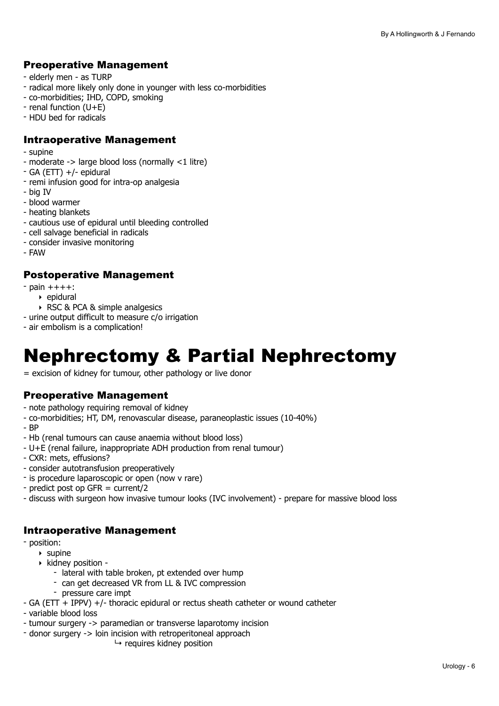#### Preoperative Management

- elderly men as TURP
- radical more likely only done in younger with less co-morbidities
- co-morbidities; IHD, COPD, smoking
- renal function (U+E)
- HDU bed for radicals

#### Intraoperative Management

- supine
- moderate -> large blood loss (normally <1 litre)
- GA (ETT) +/- epidural
- remi infusion good for intra-op analgesia
- big IV
- blood warmer
- heating blankets
- cautious use of epidural until bleeding controlled
- cell salvage beneficial in radicals
- consider invasive monitoring
- FAW

#### Postoperative Management

- $-$  pain  $+++$ :
	- ‣ epidural
	- ‣ RSC & PCA & simple analgesics
- urine output difficult to measure c/o irrigation
- air embolism is a complication!

### <span id="page-5-0"></span>Nephrectomy & Partial Nephrectomy

= excision of kidney for tumour, other pathology or live donor

#### Preoperative Management

- note pathology requiring removal of kidney
- co-morbidities; HT, DM, renovascular disease, paraneoplastic issues (10-40%)
- BP
- Hb (renal tumours can cause anaemia without blood loss)
- U+E (renal failure, inappropriate ADH production from renal tumour)
- CXR: mets, effusions?
- consider autotransfusion preoperatively
- is procedure laparoscopic or open (now v rare)
- predict post op GFR = current/2
- discuss with surgeon how invasive tumour looks (IVC involvement) prepare for massive blood loss

- position:
	- $\triangleright$  supine
	- ‣ kidney position
		- lateral with table broken, pt extended over hump
		- can get decreased VR from LL & IVC compression
		- pressure care impt
- GA (ETT + IPPV) +/- thoracic epidural or rectus sheath catheter or wound catheter
- variable blood loss
- tumour surgery -> paramedian or transverse laparotomy incision
- donor surgery -> loin incision with retroperitoneal approach
	- $ightharpoonup$  requires kidney position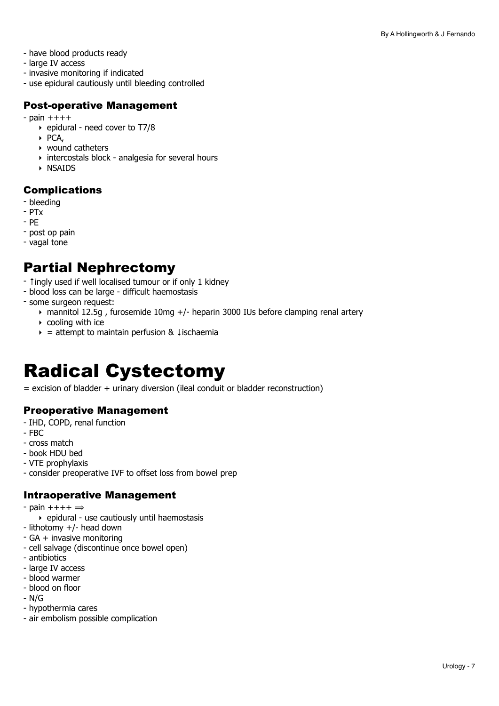- have blood products ready
- large IV access
- invasive monitoring if indicated
- use epidural cautiously until bleeding controlled

#### Post-operative Management

- $-$  pain  $+++$ 
	- ‣ epidural need cover to T7/8
	- ‣ PCA,
	- ‣ wound catheters
	- ‣ intercostals block analgesia for several hours
	- ‣ NSAIDS

#### Complications

- bleeding
- PTx
- PE
- post op pain
- vagal tone

### Partial Nephrectomy

- ↑ingly used if well localised tumour or if only 1 kidney
- blood loss can be large difficult haemostasis
- some surgeon request:
	- ‣ mannitol 12.5g , furosemide 10mg +/- heparin 3000 IUs before clamping renal artery
	- $\rightarrow$  cooling with ice
	- $\rightarrow$  = attempt to maintain perfusion &  $\downarrow$  ischaemia

## <span id="page-6-0"></span>Radical Cystectomy

= excision of bladder + urinary diversion (ileal conduit or bladder reconstruction)

#### Preoperative Management

- IHD, COPD, renal function
- FBC
- cross match
- book HDU bed
- VTE prophylaxis
- consider preoperative IVF to offset loss from bowel prep

- $-$  pain  $+++ \Rightarrow$ 
	- ‣ epidural use cautiously until haemostasis
- lithotomy +/- head down
- GA + invasive monitoring
- cell salvage (discontinue once bowel open)
- antibiotics
- large IV access
- blood warmer
- blood on floor
- N/G
- hypothermia cares
- air embolism possible complication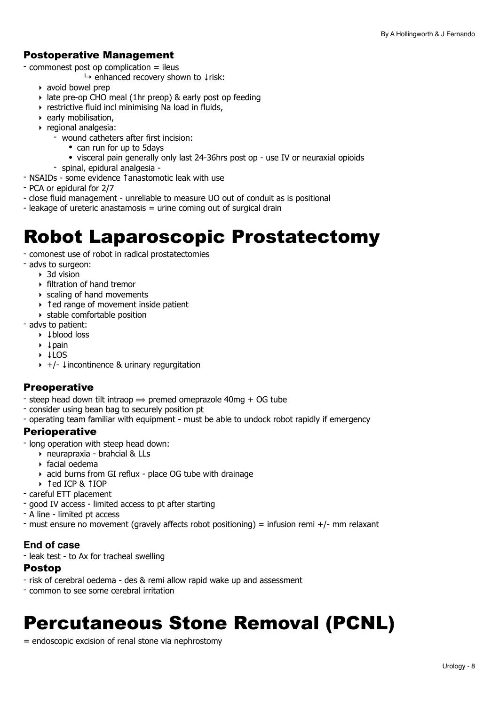#### Postoperative Management

- commonest post op complication = ileus

↳ enhanced recovery shown to ↓risk:

- ‣ avoid bowel prep
- ‣ late pre-op CHO meal (1hr preop) & early post op feeding
- ‣ restrictive fluid incl minimising Na load in fluids,
- ‣ early mobilisation,
- ‣ regional analgesia:
	- wound catheters after first incision:
		- can run for up to 5 days
		- visceral pain generally only last 24-36hrs post op use IV or neuraxial opioids
	- spinal, epidural analgesia -
- NSAIDs some evidence ↑anastomotic leak with use
- PCA or epidural for 2/7
- close fluid management unreliable to measure UO out of conduit as is positional
- leakage of ureteric anastamosis = urine coming out of surgical drain

### <span id="page-7-0"></span>Robot Laparoscopic Prostatectomy

- comonest use of robot in radical prostatectomies
- advs to surgeon:
	- $\rightarrow$  3d vision
	- ‣ filtration of hand tremor
	- ‣ scaling of hand movements
	- ‣ ↑ed range of movement inside patient
	- ‣ stable comfortable position
- advs to patient:
	- ‣ ↓blood loss
	- ‣ ↓pain
	- ‣ ↓LOS
	- ‣ +/- ↓incontinence & urinary regurgitation

#### **Preoperative**

- steep head down tilt intraop  $\Rightarrow$  premed omeprazole 40mg + OG tube
- consider using bean bag to securely position pt
- operating team familiar with equipment must be able to undock robot rapidly if emergency

#### Perioperative

- long operation with steep head down:
	- ‣ neurapraxia brahcial & LLs
	- ‣ facial oedema
	- ‣ acid burns from GI reflux place OG tube with drainage
	- ‣ ↑ed ICP & ↑IOP
- careful ETT placement
- good IV access limited access to pt after starting
- A line limited pt access
- must ensure no movement (gravely affects robot positioning) = infusion remi +/- mm relaxant

#### **End of case**

- leak test - to Ax for tracheal swelling

#### Postop

- risk of cerebral oedema des & remi allow rapid wake up and assessment
- common to see some cerebral irritation

### <span id="page-7-1"></span>Percutaneous Stone Removal (PCNL)

= endoscopic excision of renal stone via nephrostomy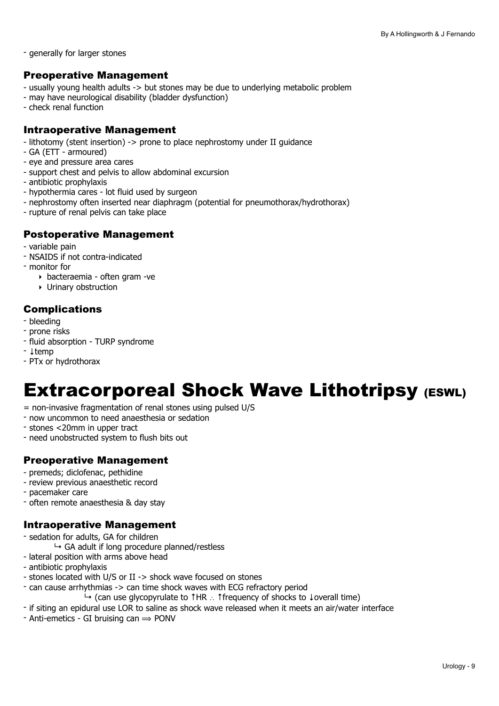- generally for larger stones

#### Preoperative Management

- usually young health adults -> but stones may be due to underlying metabolic problem
- may have neurological disability (bladder dysfunction)
- check renal function

#### Intraoperative Management

- lithotomy (stent insertion) -> prone to place nephrostomy under II guidance
- GA (ETT armoured)
- eye and pressure area cares
- support chest and pelvis to allow abdominal excursion
- antibiotic prophylaxis
- hypothermia cares lot fluid used by surgeon
- nephrostomy often inserted near diaphragm (potential for pneumothorax/hydrothorax)
- rupture of renal pelvis can take place

#### Postoperative Management

- variable pain
- NSAIDS if not contra-indicated
- monitor for
	- ‣ bacteraemia often gram -ve
	- ‣ Urinary obstruction

#### Complications

- bleeding
- prone risks
- fluid absorption TURP syndrome
- ↓temp
- PTx or hydrothorax

### <span id="page-8-0"></span>Extracorporeal Shock Wave Lithotripsy (ESWL)

- = non-invasive fragmentation of renal stones using pulsed U/S
- now uncommon to need anaesthesia or sedation
- stones <20mm in upper tract
- need unobstructed system to flush bits out

#### Preoperative Management

- premeds; diclofenac, pethidine
- review previous anaesthetic record
- pacemaker care
- often remote anaesthesia & day stay

- sedation for adults, GA for children
	- $\rightarrow$  GA adult if long procedure planned/restless
- lateral position with arms above head
- antibiotic prophylaxis
- stones located with U/S or II -> shock wave focused on stones
- can cause arrhythmias -> can time shock waves with ECG refractory period
	- $\rightarrow$  (can use glycopyrulate to †HR  $\therefore$  † frequency of shocks to ↓overall time)
- if siting an epidural use LOR to saline as shock wave released when it meets an air/water interface
- $-$  Anti-emetics  $-$  GI bruising can  $\Rightarrow$  PONV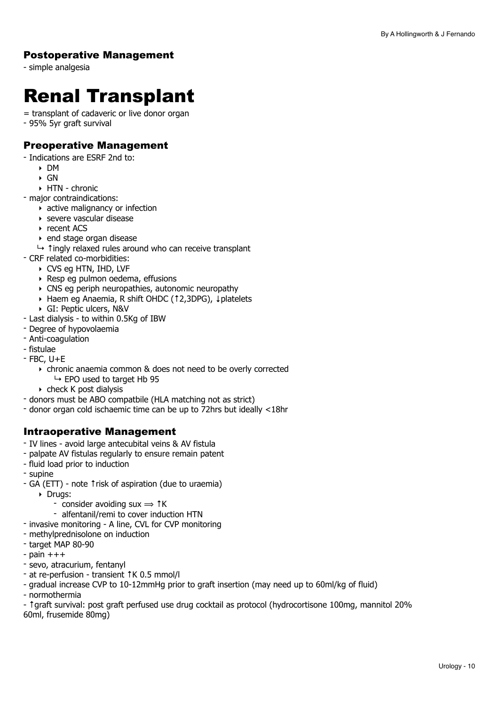#### Postoperative Management

- simple analgesia

## <span id="page-9-0"></span>Renal Transplant

- = transplant of cadaveric or live donor organ
- 95% 5yr graft survival

#### Preoperative Management

- Indications are ESRF 2nd to:
	- ‣ DM
	- $\triangleright$  GN
	- ‣ HTN chronic
- major contraindications:
	- $\rightarrow$  active malignancy or infection
	- ‣ severe vascular disease
	- ‣ recent ACS
	- ‣ end stage organ disease
	- ↳ ↑ingly relaxed rules around who can receive transplant
- CRF related co-morbidities:
	- ‣ CVS eg HTN, IHD, LVF
	- ‣ Resp eg pulmon oedema, effusions
	- ‣ CNS eg periph neuropathies, autonomic neuropathy
	- ‣ Haem eg Anaemia, R shift OHDC (↑2,3DPG), ↓platelets
	- ‣ GI: Peptic ulcers, N&V
- Last dialysis to within 0.5Kg of IBW
- Degree of hypovolaemia
- Anti-coagulation
- fistulae
- $-$  FBC, U $+E$ 
	- ‣ chronic anaemia common & does not need to be overly corrected  $\rightarrow$  EPO used to target Hb 95
	- ‣ check K post dialysis
- donors must be ABO compatbile (HLA matching not as strict)
- donor organ cold ischaemic time can be up to 72hrs but ideally <18hr

#### Intraoperative Management

- IV lines avoid large antecubital veins & AV fistula
- palpate AV fistulas regularly to ensure remain patent
- fluid load prior to induction
- supine
- GA (ETT) note ↑risk of aspiration (due to uraemia)
	- ‣ Drugs:
		- consider avoiding sux  $\Rightarrow$   $\uparrow$  K
		- alfentanil/remi to cover induction HTN
- invasive monitoring A line, CVL for CVP monitoring
- methylprednisolone on induction
- target MAP 80-90
- $-$  pain  $+++$
- sevo, atracurium, fentanyl
- at re-perfusion transient ↑K 0.5 mmol/l
- gradual increase CVP to 10-12mmHg prior to graft insertion (may need up to 60ml/kg of fluid)
- normothermia

- ↑graft survival: post graft perfused use drug cocktail as protocol (hydrocortisone 100mg, mannitol 20% 60ml, frusemide 80mg)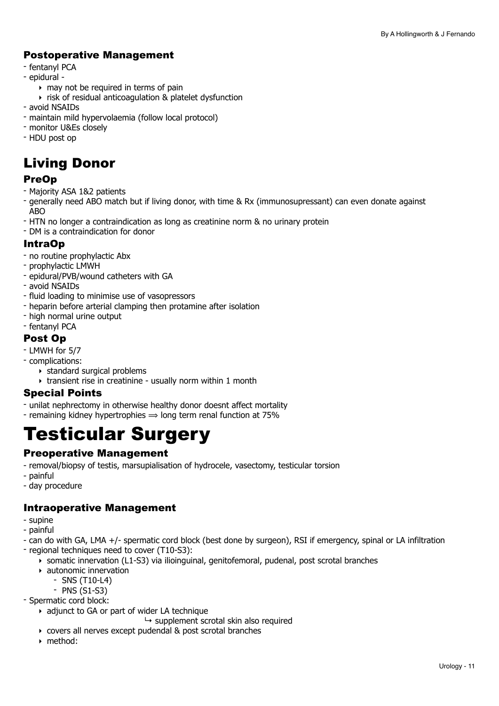#### Postoperative Management

- fentanyl PCA
- epidural
	- $\rightarrow$  may not be required in terms of pain
	- ‣ risk of residual anticoagulation & platelet dysfunction
- avoid NSAIDs
- maintain mild hypervolaemia (follow local protocol)
- monitor U&Es closely
- HDU post op

### Living Donor

#### PreOp

- Majority ASA 1&2 patients
- generally need ABO match but if living donor, with time & Rx (immunosupressant) can even donate against  $\triangle$ BO
- HTN no longer a contraindication as long as creatinine norm & no urinary protein
- DM is a contraindication for donor

#### IntraOp

- no routine prophylactic Abx
- prophylactic LMWH
- epidural/PVB/wound catheters with GA
- avoid NSAIDs
- fluid loading to minimise use of vasopressors
- heparin before arterial clamping then protamine after isolation
- high normal urine output
- fentanyl PCA

#### Post Op

- LMWH for 5/7
- complications:
	- ‣ standard surgical problems
	- ‣ transient rise in creatinine usually norm within 1 month

#### Special Points

- unilat nephrectomy in otherwise healthy donor doesnt affect mortality
- remaining kidney hypertrophies  $\Rightarrow$  long term renal function at 75%

### <span id="page-10-0"></span>Testicular Surgery

#### Preoperative Management

- removal/biopsy of testis, marsupialisation of hydrocele, vasectomy, testicular torsion
- painful
- day procedure

- supine
- painful
- can do with GA, LMA +/- spermatic cord block (best done by surgeon), RSI if emergency, spinal or LA infiltration
- regional techniques need to cover (T10-S3):
	- ‣ somatic innervation (L1-S3) via ilioinguinal, genitofemoral, pudenal, post scrotal branches
	- ‣ autonomic innervation
		- SNS (T10-L4)
		- PNS (S1-S3)
- Spermatic cord block:
	- ‣ adjunct to GA or part of wider LA technique
		- $\rightarrow$  supplement scrotal skin also required
	- ‣ covers all nerves except pudendal & post scrotal branches
	- ‣ method: